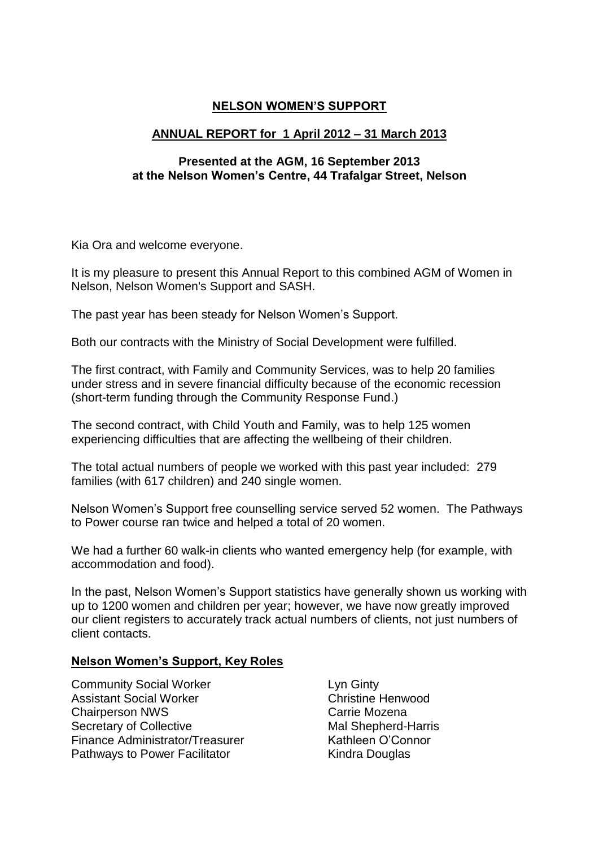# **NELSON WOMEN'S SUPPORT**

### **ANNUAL REPORT for 1 April 2012 – 31 March 2013**

#### **Presented at the AGM, 16 September 2013 at the Nelson Women's Centre, 44 Trafalgar Street, Nelson**

Kia Ora and welcome everyone.

It is my pleasure to present this Annual Report to this combined AGM of Women in Nelson, Nelson Women's Support and SASH.

The past year has been steady for Nelson Women's Support.

Both our contracts with the Ministry of Social Development were fulfilled.

The first contract, with Family and Community Services, was to help 20 families under stress and in severe financial difficulty because of the economic recession (short-term funding through the Community Response Fund.)

The second contract, with Child Youth and Family, was to help 125 women experiencing difficulties that are affecting the wellbeing of their children.

The total actual numbers of people we worked with this past year included: 279 families (with 617 children) and 240 single women.

Nelson Women's Support free counselling service served 52 women. The Pathways to Power course ran twice and helped a total of 20 women.

We had a further 60 walk-in clients who wanted emergency help (for example, with accommodation and food).

In the past, Nelson Women's Support statistics have generally shown us working with up to 1200 women and children per year; however, we have now greatly improved our client registers to accurately track actual numbers of clients, not just numbers of client contacts.

#### **Nelson Women's Support, Key Roles**

- Community Social Worker **Lyn Ginty** Assistant Social Worker Christine Henwood Chairperson NWS Chairperson NWS Secretary of Collective Mal Shepherd-Harris Finance Administrator/Treasurer Kathleen O'Connor Pathways to Power Facilitator **Kindra Douglas** 
	-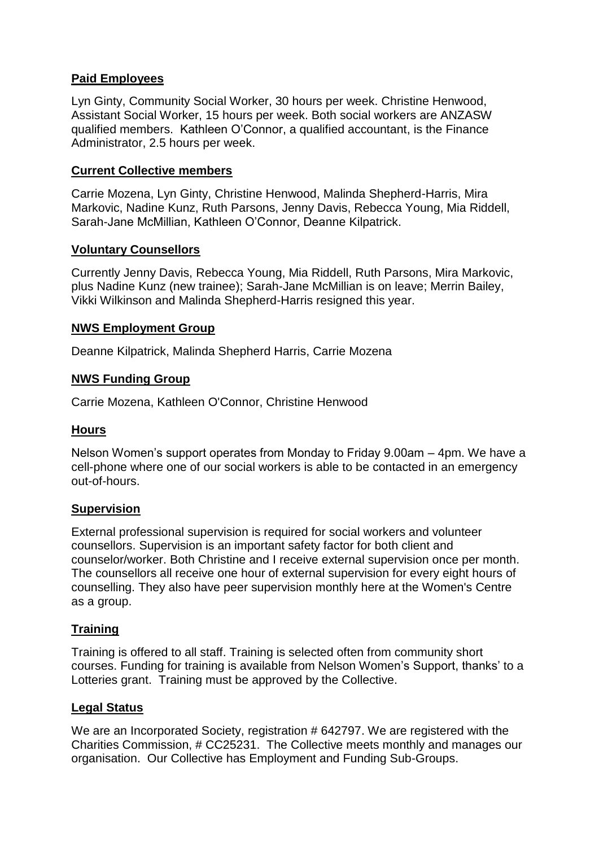# **Paid Employees**

Lyn Ginty, Community Social Worker, 30 hours per week. Christine Henwood, Assistant Social Worker, 15 hours per week. Both social workers are ANZASW qualified members. Kathleen O'Connor, a qualified accountant, is the Finance Administrator, 2.5 hours per week.

# **Current Collective members**

Carrie Mozena, Lyn Ginty, Christine Henwood, Malinda Shepherd-Harris, Mira Markovic, Nadine Kunz, Ruth Parsons, Jenny Davis, Rebecca Young, Mia Riddell, Sarah-Jane McMillian, Kathleen O'Connor, Deanne Kilpatrick.

#### **Voluntary Counsellors**

Currently Jenny Davis, Rebecca Young, Mia Riddell, Ruth Parsons, Mira Markovic, plus Nadine Kunz (new trainee); Sarah-Jane McMillian is on leave; Merrin Bailey, Vikki Wilkinson and Malinda Shepherd-Harris resigned this year.

# **NWS Employment Group**

Deanne Kilpatrick, Malinda Shepherd Harris, Carrie Mozena

# **NWS Funding Group**

Carrie Mozena, Kathleen O'Connor, Christine Henwood

# **Hours**

Nelson Women's support operates from Monday to Friday 9.00am – 4pm. We have a cell-phone where one of our social workers is able to be contacted in an emergency out-of-hours.

#### **Supervision**

External professional supervision is required for social workers and volunteer counsellors. Supervision is an important safety factor for both client and counselor/worker. Both Christine and I receive external supervision once per month. The counsellors all receive one hour of external supervision for every eight hours of counselling. They also have peer supervision monthly here at the Women's Centre as a group.

# **Training**

Training is offered to all staff. Training is selected often from community short courses. Funding for training is available from Nelson Women's Support, thanks' to a Lotteries grant. Training must be approved by the Collective.

#### **Legal Status**

We are an Incorporated Society, registration # 642797. We are registered with the Charities Commission, # CC25231. The Collective meets monthly and manages our organisation. Our Collective has Employment and Funding Sub-Groups.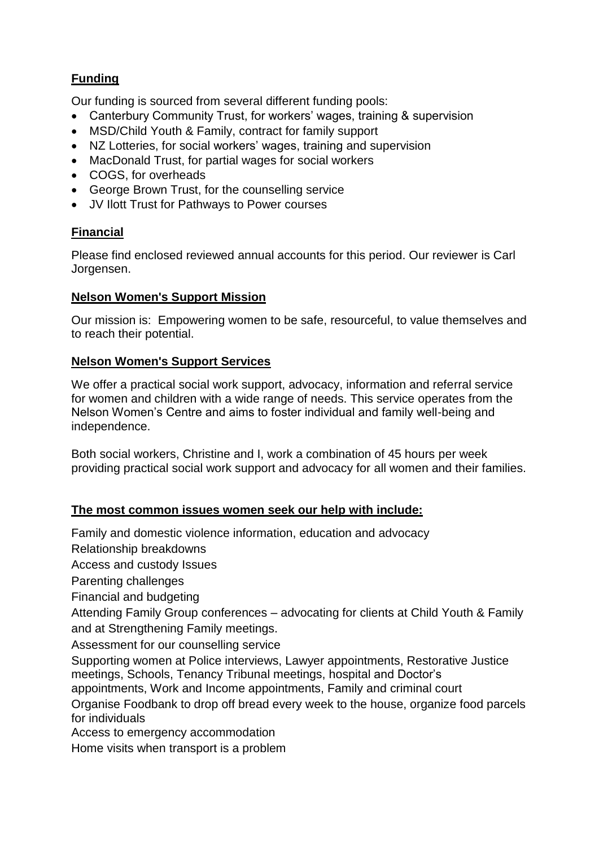# **Funding**

Our funding is sourced from several different funding pools:

- Canterbury Community Trust, for workers' wages, training & supervision
- MSD/Child Youth & Family, contract for family support
- NZ Lotteries, for social workers' wages, training and supervision
- MacDonald Trust, for partial wages for social workers
- COGS, for overheads
- George Brown Trust, for the counselling service
- JV Ilott Trust for Pathways to Power courses

# **Financial**

Please find enclosed reviewed annual accounts for this period. Our reviewer is Carl Jorgensen.

#### **Nelson Women's Support Mission**

Our mission is: Empowering women to be safe, resourceful, to value themselves and to reach their potential.

#### **Nelson Women's Support Services**

We offer a practical social work support, advocacy, information and referral service for women and children with a wide range of needs. This service operates from the Nelson Women's Centre and aims to foster individual and family well-being and independence.

Both social workers, Christine and I, work a combination of 45 hours per week providing practical social work support and advocacy for all women and their families.

# **The most common issues women seek our help with include:**

Family and domestic violence information, education and advocacy

Relationship breakdowns

Access and custody Issues

Parenting challenges

Financial and budgeting

Attending Family Group conferences – advocating for clients at Child Youth & Family and at Strengthening Family meetings.

Assessment for our counselling service

Supporting women at Police interviews, Lawyer appointments, Restorative Justice meetings, Schools, Tenancy Tribunal meetings, hospital and Doctor's

appointments, Work and Income appointments, Family and criminal court

Organise Foodbank to drop off bread every week to the house, organize food parcels for individuals

Access to emergency accommodation

Home visits when transport is a problem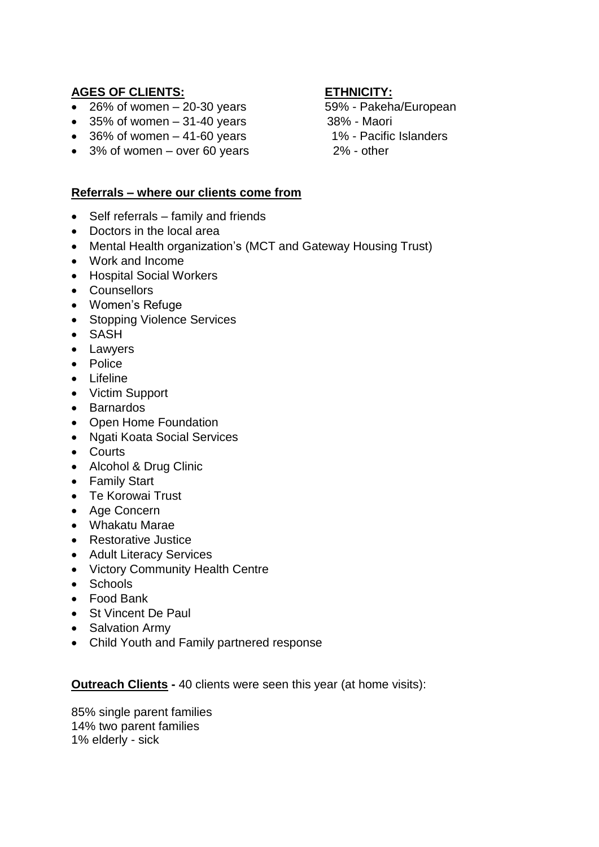# **AGES OF CLIENTS: ETHNICITY:**

- $\bullet$  26% of women 20-30 years  $59\%$  Pakeha/European
- $\bullet$  35% of women  $-31-40$  years 38% Maori
- 36% of women 41-60 years 1% Pacific Islanders
- 3% of women over 60 years 2% other

# **Referrals – where our clients come from**

- Self referrals family and friends
- Doctors in the local area
- Mental Health organization's (MCT and Gateway Housing Trust)
- Work and Income
- Hospital Social Workers
- Counsellors
- Women's Refuge
- Stopping Violence Services
- SASH
- Lawyers
- Police
- Lifeline
- Victim Support
- Barnardos
- Open Home Foundation
- Ngati Koata Social Services
- Courts
- Alcohol & Drug Clinic
- Family Start
- Te Korowai Trust
- Age Concern
- Whakatu Marae
- Restorative Justice
- Adult Literacy Services
- Victory Community Health Centre
- Schools
- Food Bank
- St Vincent De Paul
- Salvation Army
- Child Youth and Family partnered response

**Outreach Clients -** 40 clients were seen this year (at home visits):

85% single parent families 14% two parent families 1% elderly - sick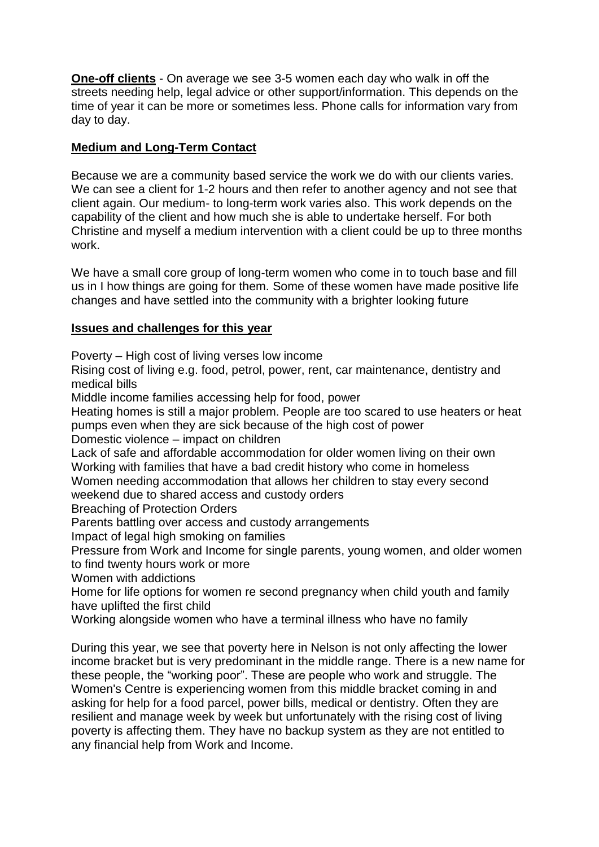**One-off clients** - On average we see 3-5 women each day who walk in off the streets needing help, legal advice or other support/information. This depends on the time of year it can be more or sometimes less. Phone calls for information vary from day to day.

# **Medium and Long-Term Contact**

Because we are a community based service the work we do with our clients varies. We can see a client for 1-2 hours and then refer to another agency and not see that client again. Our medium- to long-term work varies also. This work depends on the capability of the client and how much she is able to undertake herself. For both Christine and myself a medium intervention with a client could be up to three months work.

We have a small core group of long-term women who come in to touch base and fill us in I how things are going for them. Some of these women have made positive life changes and have settled into the community with a brighter looking future

# **Issues and challenges for this year**

Poverty – High cost of living verses low income

Rising cost of living e.g. food, petrol, power, rent, car maintenance, dentistry and medical bills

Middle income families accessing help for food, power

Heating homes is still a major problem. People are too scared to use heaters or heat pumps even when they are sick because of the high cost of power

Domestic violence – impact on children

Lack of safe and affordable accommodation for older women living on their own Working with families that have a bad credit history who come in homeless Women needing accommodation that allows her children to stay every second

weekend due to shared access and custody orders

Breaching of Protection Orders

Parents battling over access and custody arrangements

Impact of legal high smoking on families

Pressure from Work and Income for single parents, young women, and older women to find twenty hours work or more

Women with addictions

Home for life options for women re second pregnancy when child youth and family have uplifted the first child

Working alongside women who have a terminal illness who have no family

During this year, we see that poverty here in Nelson is not only affecting the lower income bracket but is very predominant in the middle range. There is a new name for these people, the "working poor". These are people who work and struggle. The Women's Centre is experiencing women from this middle bracket coming in and asking for help for a food parcel, power bills, medical or dentistry. Often they are resilient and manage week by week but unfortunately with the rising cost of living poverty is affecting them. They have no backup system as they are not entitled to any financial help from Work and Income.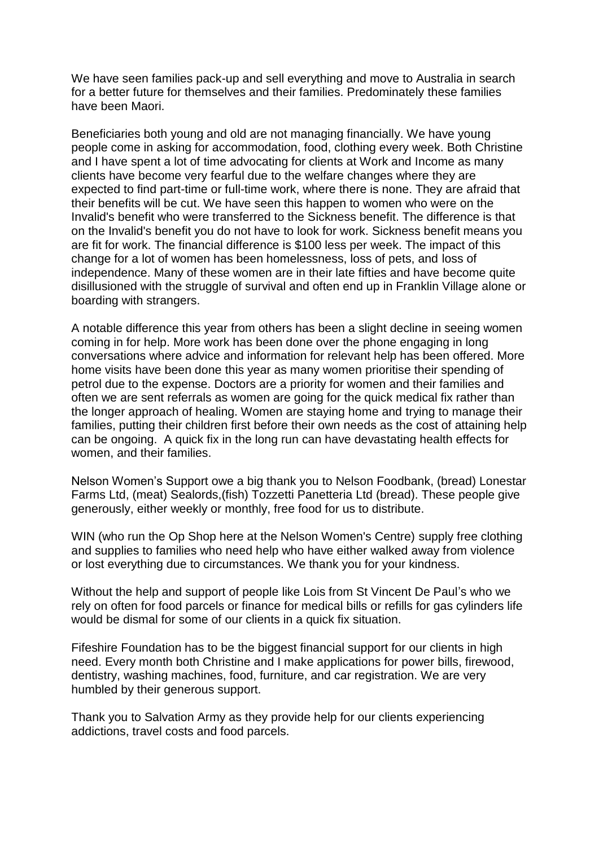We have seen families pack-up and sell everything and move to Australia in search for a better future for themselves and their families. Predominately these families have been Maori.

Beneficiaries both young and old are not managing financially. We have young people come in asking for accommodation, food, clothing every week. Both Christine and I have spent a lot of time advocating for clients at Work and Income as many clients have become very fearful due to the welfare changes where they are expected to find part-time or full-time work, where there is none. They are afraid that their benefits will be cut. We have seen this happen to women who were on the Invalid's benefit who were transferred to the Sickness benefit. The difference is that on the Invalid's benefit you do not have to look for work. Sickness benefit means you are fit for work. The financial difference is \$100 less per week. The impact of this change for a lot of women has been homelessness, loss of pets, and loss of independence. Many of these women are in their late fifties and have become quite disillusioned with the struggle of survival and often end up in Franklin Village alone or boarding with strangers.

A notable difference this year from others has been a slight decline in seeing women coming in for help. More work has been done over the phone engaging in long conversations where advice and information for relevant help has been offered. More home visits have been done this year as many women prioritise their spending of petrol due to the expense. Doctors are a priority for women and their families and often we are sent referrals as women are going for the quick medical fix rather than the longer approach of healing. Women are staying home and trying to manage their families, putting their children first before their own needs as the cost of attaining help can be ongoing. A quick fix in the long run can have devastating health effects for women, and their families.

Nelson Women's Support owe a big thank you to Nelson Foodbank, (bread) Lonestar Farms Ltd, (meat) Sealords,(fish) Tozzetti Panetteria Ltd (bread). These people give generously, either weekly or monthly, free food for us to distribute.

WIN (who run the Op Shop here at the Nelson Women's Centre) supply free clothing and supplies to families who need help who have either walked away from violence or lost everything due to circumstances. We thank you for your kindness.

Without the help and support of people like Lois from St Vincent De Paul's who we rely on often for food parcels or finance for medical bills or refills for gas cylinders life would be dismal for some of our clients in a quick fix situation.

Fifeshire Foundation has to be the biggest financial support for our clients in high need. Every month both Christine and I make applications for power bills, firewood, dentistry, washing machines, food, furniture, and car registration. We are very humbled by their generous support.

Thank you to Salvation Army as they provide help for our clients experiencing addictions, travel costs and food parcels.